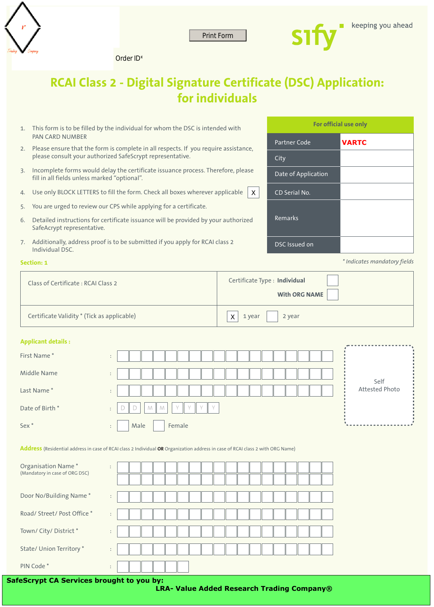

Print Form Print Form Print Form Context ID\*



# **RCAI Class 2 - Digital Signature Certificate (DSC) Application: for individuals**

- This form is to be filled by the individual for whom the DSC is intended with 1. PAN CARD NUMBER
- 2. Please ensure that the form is complete in all respects. If you require assistance, please consult your authorized SafeScrypt representative.
- 3. Incomplete forms would delay the certificate issuance process. Therefore, please fill in all fields unless marked "optional".
- 4.  $\,$  Use only BLOCK LETTERS to fill the form. Check all boxes wherever applicable  $\,|\,$  X
- 5. You are urged to review our CPS while applying for a certificate.
- 6. Detailed instructions for certificate issuance will be provided by your authorized SafeAcrypt representative.
- 7. Additionally, address proof is to be submitted if you apply for RCAI class 2 Individual DSC.

#### **Section: 1**

| Class of Certificate: RCAI Class 2          | Certificate Type : Individual<br><b>With ORG NAME</b> |
|---------------------------------------------|-------------------------------------------------------|
| Certificate Validity * (Tick as applicable) | $ $ 2 year<br>Χ<br>$1$ year                           |

#### **Applicant details :**

| First Name*      | $\bullet$<br>$\ddot{\phantom{1}}$                                       |  |      |  |  |        |  |  |  |  |  |  |  |  |  |  |                |  |
|------------------|-------------------------------------------------------------------------|--|------|--|--|--------|--|--|--|--|--|--|--|--|--|--|----------------|--|
| Middle Name      | $\bullet$<br>$\ddot{\phantom{1}}$                                       |  |      |  |  |        |  |  |  |  |  |  |  |  |  |  | Self           |  |
| Last Name*       | $\bullet$<br>$\sim$                                                     |  |      |  |  |        |  |  |  |  |  |  |  |  |  |  | Attested Photo |  |
| Date of Birth*   | $\mathbb{L}$ V<br>Y I Y<br>$\vee$<br>M<br>M<br>Ш<br>$\bullet$<br>$\sim$ |  |      |  |  |        |  |  |  |  |  |  |  |  |  |  |                |  |
| Sex <sup>*</sup> | $\bullet$<br>$\ddot{\phantom{1}}$                                       |  | Male |  |  | Female |  |  |  |  |  |  |  |  |  |  |                |  |

Address (Residential address in case of RCAI class 2 Individual OR Organization address in case of RCAI class 2 with ORG Name)

| Organisation Name*<br>(Mandatory in case of ORG DSC) |                                                   |
|------------------------------------------------------|---------------------------------------------------|
| Door No/Building Name*                               | $\ddot{\phantom{a}}$                              |
| Road/ Street/ Post Office *                          | $\bullet$                                         |
| Town/ City/ District *                               | $\bullet$                                         |
| State/ Union Territory *                             | ÷                                                 |
| PIN Code*                                            | $\bullet$<br>$\ddot{\phantom{1}}$                 |
| <b>SafeScrypt CA Services brought to you by:</b>     | <b>LRA- Value Added Research Trading Company®</b> |

**For official use only**

**VARTC**

Partner Code

CD Serial No.

DSC Issued on

Remarks

Date of Application

City

*\* Indicates mandatory fields*